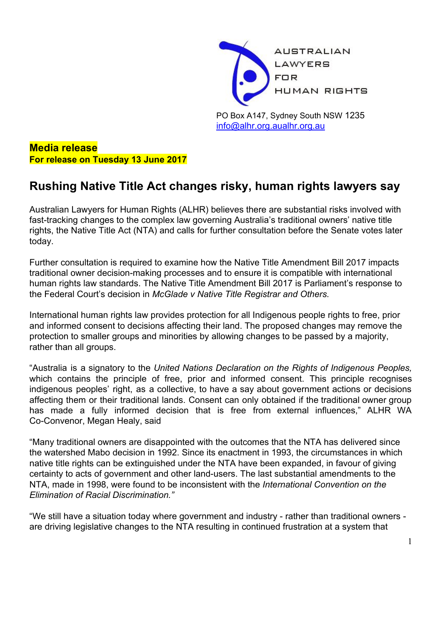

PO Box A147, Sydney South NSW 1235 [info@alhr.org.au](mailto:info@alhr.org.au)[alhr.org.au](http://www.alhr.asn.au/)

**Media release For release on Tuesday 13 June 2017**

## **Rushing Native Title Act changes risky, human rights lawyers say**

Australian Lawyers for Human Rights (ALHR) believes there are substantial risks involved with fast-tracking changes to the complex law governing Australia's traditional owners' native title rights, the Native Title Act (NTA) and calls for further consultation before the Senate votes later today.

Further consultation is required to examine how the Native Title Amendment Bill 2017 impacts traditional owner decision-making processes and to ensure it is compatible with international human rights law standards. The Native Title Amendment Bill 2017 is Parliament's response to the Federal Court's decision in *McGlade v Native Title Registrar and Others.*

International human rights law provides protection for all Indigenous people rights to free, prior and informed consent to decisions affecting their land. The proposed changes may remove the protection to smaller groups and minorities by allowing changes to be passed by a majority, rather than all groups.

"Australia is a signatory to the *United Nations Declaration on the Rights of Indigenous Peoples,* which contains the principle of free, prior and informed consent. This principle recognises indigenous peoples' right, as a collective, to have a say about government actions or decisions affecting them or their traditional lands. Consent can only obtained if the traditional owner group has made a fully informed decision that is free from external influences," ALHR WA Co-Convenor, Megan Healy, said

"Many traditional owners are disappointed with the outcomes that the NTA has delivered since the watershed Mabo decision in 1992. Since its enactment in 1993, the circumstances in which native title rights can be extinguished under the NTA have been expanded, in favour of giving certainty to acts of government and other land-users. The last substantial amendments to the NTA, made in 1998, were found to be inconsistent with the *International Convention on the Elimination of Racial Discrimination."*

"We still have a situation today where government and industry - rather than traditional owners are driving legislative changes to the NTA resulting in continued frustration at a system that